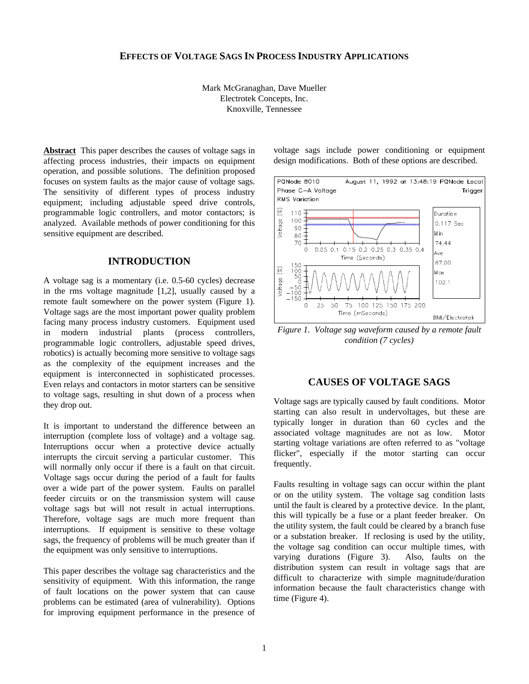## **EFFECTS OF VOLTAGE SAGS IN PROCESS INDUSTRY APPLICATIONS**

Mark McGranaghan, Dave Mueller Electrotek Concepts, Inc. Knoxville, Tennessee

**Abstract** This paper describes the causes of voltage sags in affecting process industries, their impacts on equipment operation, and possible solutions. The definition proposed focuses on system faults as the major cause of voltage sags. The sensitivity of different types of process industry equipment; including adjustable speed drive controls, programmable logic controllers, and motor contactors; is analyzed. Available methods of power conditioning for this sensitive equipment are described.

## **INTRODUCTION**

A voltage sag is a momentary (i.e. 0.5-60 cycles) decrease in the rms voltage magnitude [1,2], usually caused by a remote fault somewhere on the power system (Figure 1). Voltage sags are the most important power quality problem facing many process industry customers. Equipment used in modern industrial plants (process controllers, programmable logic controllers, adjustable speed drives, robotics) is actually becoming more sensitive to voltage sags as the complexity of the equipment increases and the equipment is interconnected in sophisticated processes. Even relays and contactors in motor starters can be sensitive to voltage sags, resulting in shut down of a process when they drop out.

It is important to understand the difference between an interruption (complete loss of voltage) and a voltage sag. Interruptions occur when a protective device actually interrupts the circuit serving a particular customer. This will normally only occur if there is a fault on that circuit. Voltage sags occur during the period of a fault for faults over a wide part of the power system. Faults on parallel feeder circuits or on the transmission system will cause voltage sags but will not result in actual interruptions. Therefore, voltage sags are much more frequent than interruptions. If equipment is sensitive to these voltage sags, the frequency of problems will be much greater than if the equipment was only sensitive to interruptions.

This paper describes the voltage sag characteristics and the sensitivity of equipment. With this information, the range of fault locations on the power system that can cause problems can be estimated (area of vulnerability). Options for improving equipment performance in the presence of voltage sags include power conditioning or equipment design modifications. Both of these options are described.



*Figure 1. Voltage sag waveform caused by a remote fault condition (7 cycles)*

## **CAUSES OF VOLTAGE SAGS**

Voltage sags are typically caused by fault conditions. Motor starting can also result in undervoltages, but these are typically longer in duration than 60 cycles and the associated voltage magnitudes are not as low. Motor starting voltage variations are often referred to as "voltage flicker", especially if the motor starting can occur frequently.

Faults resulting in voltage sags can occur within the plant or on the utility system. The voltage sag condition lasts until the fault is cleared by a protective device. In the plant, this will typically be a fuse or a plant feeder breaker. On the utility system, the fault could be cleared by a branch fuse or a substation breaker. If reclosing is used by the utility, the voltage sag condition can occur multiple times, with varying durations (Figure 3). Also, faults on the distribution system can result in voltage sags that are difficult to characterize with simple magnitude/duration information because the fault characteristics change with time (Figure 4).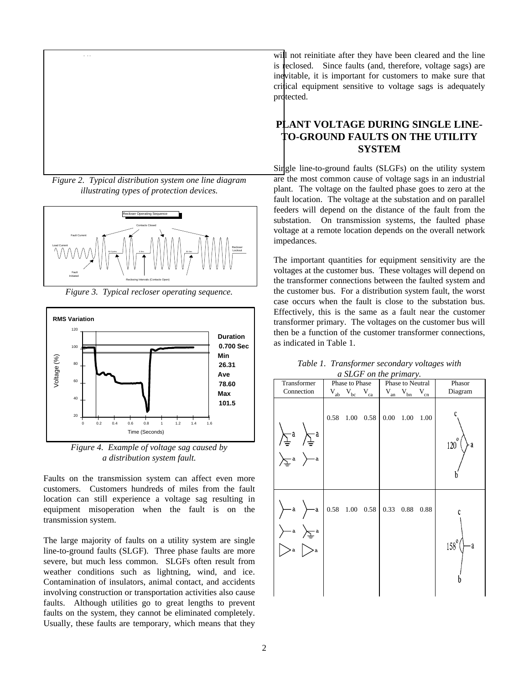

*Figure 2. Typical distribution system one line diagram illustrating types of protection devices.*



*Figure 3. Typical recloser operating sequence.*



*Figure 4. Example of voltage sag caused by a distribution system fault.*

Faults on the transmission system can affect even more customers. Customers hundreds of miles from the fault location can still experience a voltage sag resulting in equipment misoperation when the fault is on the transmission system.

The large majority of faults on a utility system are single line-to-ground faults (SLGF). Three phase faults are more severe, but much less common. SLGFs often result from weather conditions such as lightning, wind, and ice. Contamination of insulators, animal contact, and accidents involving construction or transportation activities also cause faults. Although utilities go to great lengths to prevent faults on the system, they cannot be eliminated completely. Usually, these faults are temporary, which means that they will not reinitiate after they have been cleared and the line is reclosed. Since faults (and, therefore, voltage sags) are inevitable, it is important for customers to make sure that critical equipment sensitive to voltage sags is adequately protected.

# **PLANT VOLTAGE DURING SINGLE LINE-TO-GROUND FAULTS ON THE UTILITY SYSTEM**

Single line-to-ground faults (SLGFs) on the utility system are the most common cause of voltage sags in an industrial plant. The voltage on the faulted phase goes to zero at the fault location. The voltage at the substation and on parallel feeders will depend on the distance of the fault from the substation. On transmission systems, the faulted phase voltage at a remote location depends on the overall network impedances.

The important quantities for equipment sensitivity are the voltages at the customer bus. These voltages will depend on the transformer connections between the faulted system and the customer bus. For a distribution system fault, the worst case occurs when the fault is close to the substation bus. Effectively, this is the same as a fault near the customer transformer primary. The voltages on the customer bus will then be a function of the customer transformer connections, as indicated in Table 1.

| Table 1. Transformer secondary voltages with |
|----------------------------------------------|
| a SLGF on the primary.                       |

| Transformer                                                               | Phase to Phase |          |                            | Phase to Neutral         |                   |                      | Phasor               |
|---------------------------------------------------------------------------|----------------|----------|----------------------------|--------------------------|-------------------|----------------------|----------------------|
| Connection                                                                | $V_{ab}$       | $V_{bc}$ | $\rm V_{_{c\bar{a}}}$      | $\rm V_{\underline{an}}$ | $\rm V_{bn}$      | $V_{\underline{cn}}$ | Diagram              |
| $\sum_{i=1}^{n}$<br>-a<br>$\frac{4}{x}$<br>$-a$                           |                |          | $0.58$ 1.00 0.58           |                          | $0.00 \quad 1.00$ | 1.00                 | c<br>0<br>120<br>· a |
| $\downarrow$<br>$\mathbf{a}$<br>$\overline{\mathbb{L}}^{\mathsf{a}}$<br>a |                |          | $0.58$ 1.00 0.58 0.33 0.88 |                          |                   | 0.88                 | $158^{\circ}$<br>٠a  |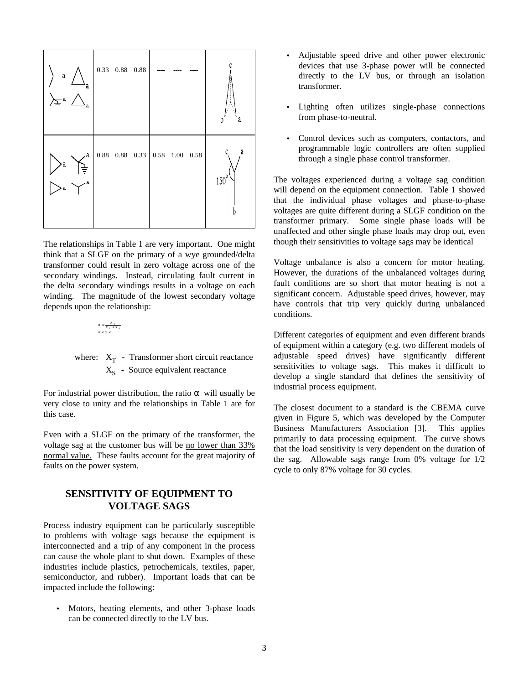

The relationships in Table 1 are very important. One might think that a SLGF on the primary of a wye grounded/delta transformer could result in zero voltage across one of the secondary windings. Instead, circulating fault current in the delta secondary windings results in a voltage on each winding. The magnitude of the lowest secondary voltage depends upon the relationship:

$$
\begin{aligned} \alpha &= \frac{X_{T}}{X_{T}+X_{S}} \\ 0 &< \alpha < 1 \end{aligned}
$$

where:  $X_T$  - Transformer short circuit reactance  $X<sub>S</sub>$  - Source equivalent reactance

For industrial power distribution, the ratio  $\alpha$  will usually be very close to unity and the relationships in Table 1 are for this case.

Even with a SLGF on the primary of the transformer, the voltage sag at the customer bus will be no lower than  $33\%$ normal value. These faults account for the great majority of faults on the power system.

# **SENSITIVITY OF EQUIPMENT TO VOLTAGE SAGS**

Process industry equipment can be particularly susceptible to problems with voltage sags because the equipment is interconnected and a trip of any component in the process can cause the whole plant to shut down. Examples of these industries include plastics, petrochemicals, textiles, paper, semiconductor, and rubber). Important loads that can be impacted include the following:

• Motors, heating elements, and other 3-phase loads can be connected directly to the LV bus.

- Adjustable speed drive and other power electronic devices that use 3-phase power will be connected directly to the LV bus, or through an isolation transformer.
- Lighting often utilizes single-phase connections from phase-to-neutral.
- Control devices such as computers, contactors, and programmable logic controllers are often supplied through a single phase control transformer.

The voltages experienced during a voltage sag condition will depend on the equipment connection. Table 1 showed that the individual phase voltages and phase-to-phase voltages are quite different during a SLGF condition on the transformer primary. Some single phase loads will be unaffected and other single phase loads may drop out, even though their sensitivities to voltage sags may be identical

Voltage unbalance is also a concern for motor heating. However, the durations of the unbalanced voltages during fault conditions are so short that motor heating is not a significant concern. Adjustable speed drives, however, may have controls that trip very quickly during unbalanced conditions.

Different categories of equipment and even different brands of equipment within a category (e.g. two different models of adjustable speed drives) have significantly different sensitivities to voltage sags. This makes it difficult to develop a single standard that defines the sensitivity of industrial process equipment.

The closest document to a standard is the CBEMA curve given in Figure 5, which was developed by the Computer Business Manufacturers Association [3]. This applies primarily to data processing equipment. The curve shows that the load sensitivity is very dependent on the duration of the sag. Allowable sags range from 0% voltage for 1/2 cycle to only 87% voltage for 30 cycles.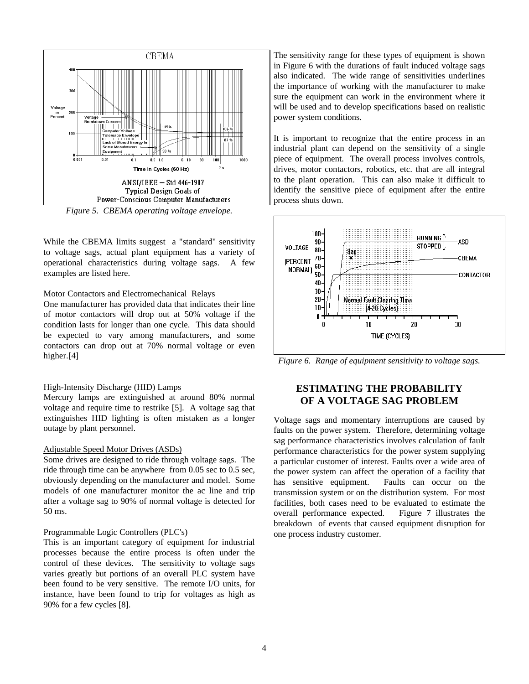

*Figure 5. CBEMA operating voltage envelope.*

While the CBEMA limits suggest a "standard" sensitivity to voltage sags, actual plant equipment has a variety of operational characteristics during voltage sags. A few examples are listed here.

#### Motor Contactors and Electromechanical Relays

One manufacturer has provided data that indicates their line of motor contactors will drop out at 50% voltage if the condition lasts for longer than one cycle. This data should be expected to vary among manufacturers, and some contactors can drop out at 70% normal voltage or even higher.<sup>[4]</sup>

#### High-Intensity Discharge (HID) Lamps

Mercury lamps are extinguished at around 80% normal voltage and require time to restrike [5]. A voltage sag that extinguishes HID lighting is often mistaken as a longer outage by plant personnel.

#### Adjustable Speed Motor Drives (ASDs)

Some drives are designed to ride through voltage sags. The ride through time can be anywhere from 0.05 sec to 0.5 sec, obviously depending on the manufacturer and model. Some models of one manufacturer monitor the ac line and trip after a voltage sag to 90% of normal voltage is detected for 50 ms.

#### Programmable Logic Controllers (PLC's)

This is an important category of equipment for industrial processes because the entire process is often under the control of these devices. The sensitivity to voltage sags varies greatly but portions of an overall PLC system have been found to be very sensitive. The remote I/O units, for instance, have been found to trip for voltages as high as 90% for a few cycles [8].

The sensitivity range for these types of equipment is shown in Figure 6 with the durations of fault induced voltage sags also indicated. The wide range of sensitivities underlines the importance of working with the manufacturer to make sure the equipment can work in the environment where it will be used and to develop specifications based on realistic power system conditions.

It is important to recognize that the entire process in an industrial plant can depend on the sensitivity of a single piece of equipment. The overall process involves controls, drives, motor contactors, robotics, etc. that are all integral to the plant operation. This can also make it difficult to identify the sensitive piece of equipment after the entire process shuts down.



*Figure 6. Range of equipment sensitivity to voltage sags.*

## **ESTIMATING THE PROBABILITY OF A VOLTAGE SAG PROBLEM**

Voltage sags and momentary interruptions are caused by faults on the power system. Therefore, determining voltage sag performance characteristics involves calculation of fault performance characteristics for the power system supplying a particular customer of interest. Faults over a wide area of the power system can affect the operation of a facility that has sensitive equipment. Faults can occur on the transmission system or on the distribution system. For most facilities, both cases need to be evaluated to estimate the overall performance expected. Figure 7 illustrates the breakdown of events that caused equipment disruption for one process industry customer.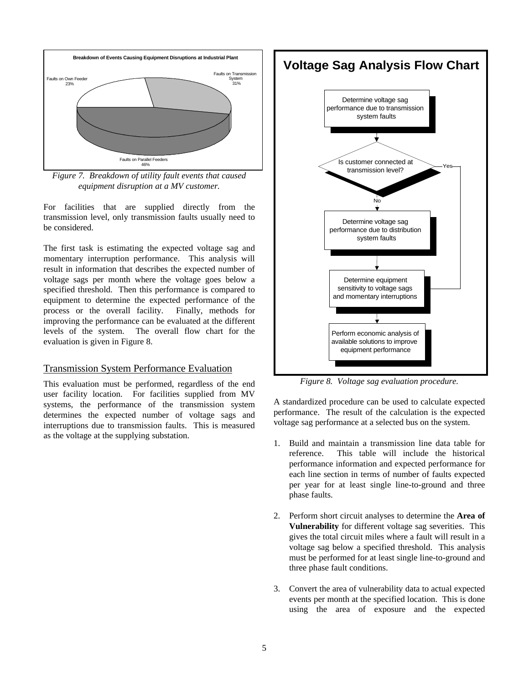

*Figure 7. Breakdown of utility fault events that caused equipment disruption at a MV customer.*

For facilities that are supplied directly from the transmission level, only transmission faults usually need to be considered.

The first task is estimating the expected voltage sag and momentary interruption performance. This analysis will result in information that describes the expected number of voltage sags per month where the voltage goes below a specified threshold. Then this performance is compared to equipment to determine the expected performance of the process or the overall facility. Finally, methods for improving the performance can be evaluated at the different levels of the system. The overall flow chart for the evaluation is given in Figure 8.

### Transmission System Performance Evaluation

This evaluation must be performed, regardless of the end user facility location. For facilities supplied from MV systems, the performance of the transmission system determines the expected number of voltage sags and interruptions due to transmission faults. This is measured as the voltage at the supplying substation.



*Figure 8. Voltage sag evaluation procedure.*

A standardized procedure can be used to calculate expected performance. The result of the calculation is the expected voltage sag performance at a selected bus on the system.

- 1. Build and maintain a transmission line data table for reference. This table will include the historical performance information and expected performance for each line section in terms of number of faults expected per year for at least single line-to-ground and three phase faults.
- 2. Perform short circuit analyses to determine the **Area of Vulnerability** for different voltage sag severities. This gives the total circuit miles where a fault will result in a voltage sag below a specified threshold. This analysis must be performed for at least single line-to-ground and three phase fault conditions.
- 3. Convert the area of vulnerability data to actual expected events per month at the specified location. This is done using the area of exposure and the expected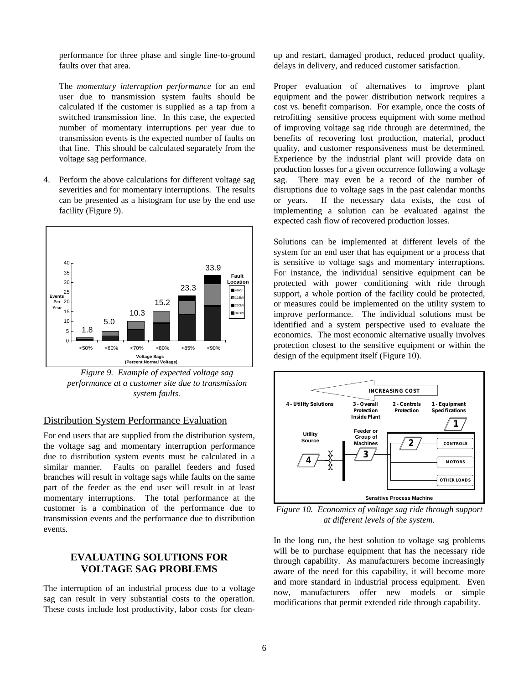performance for three phase and single line-to-ground faults over that area.

The *momentary interruption performance* for an end user due to transmission system faults should be calculated if the customer is supplied as a tap from a switched transmission line. In this case, the expected number of momentary interruptions per year due to transmission events is the expected number of faults on that line. This should be calculated separately from the voltage sag performance.

4. Perform the above calculations for different voltage sag severities and for momentary interruptions. The results can be presented as a histogram for use by the end use facility (Figure 9).



*Figure 9. Example of expected voltage sag performance at a customer site due to transmission system faults.*

### Distribution System Performance Evaluation

For end users that are supplied from the distribution system, the voltage sag and momentary interruption performance due to distribution system events must be calculated in a similar manner. Faults on parallel feeders and fused branches will result in voltage sags while faults on the same part of the feeder as the end user will result in at least momentary interruptions. The total performance at the customer is a combination of the performance due to transmission events and the performance due to distribution events.

# **EVALUATING SOLUTIONS FOR VOLTAGE SAG PROBLEMS**

The interruption of an industrial process due to a voltage sag can result in very substantial costs to the operation. These costs include lost productivity, labor costs for cleanup and restart, damaged product, reduced product quality, delays in delivery, and reduced customer satisfaction.

Proper evaluation of alternatives to improve plant equipment and the power distribution network requires a cost vs. benefit comparison. For example, once the costs of retrofitting sensitive process equipment with some method of improving voltage sag ride through are determined, the benefits of recovering lost production, material, product quality, and customer responsiveness must be determined. Experience by the industrial plant will provide data on production losses for a given occurrence following a voltage sag. There may even be a record of the number of disruptions due to voltage sags in the past calendar months or years. If the necessary data exists, the cost of implementing a solution can be evaluated against the expected cash flow of recovered production losses.

Solutions can be implemented at different levels of the system for an end user that has equipment or a process that is sensitive to voltage sags and momentary interruptions. For instance, the individual sensitive equipment can be protected with power conditioning with ride through support, a whole portion of the facility could be protected, or measures could be implemented on the utility system to improve performance. The individual solutions must be identified and a system perspective used to evaluate the economics. The most economic alternative usually involves protection closest to the sensitive equipment or within the design of the equipment itself (Figure 10).



*Figure 10. Economics of voltage sag ride through support at different levels of the system.*

In the long run, the best solution to voltage sag problems will be to purchase equipment that has the necessary ride through capability. As manufacturers become increasingly aware of the need for this capability, it will become more and more standard in industrial process equipment. Even now, manufacturers offer new models or simple modifications that permit extended ride through capability.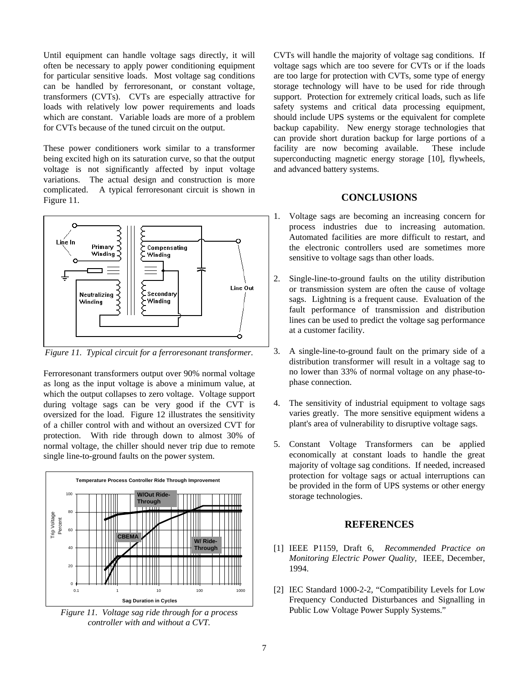Until equipment can handle voltage sags directly, it will often be necessary to apply power conditioning equipment for particular sensitive loads. Most voltage sag conditions can be handled by ferroresonant, or constant voltage, transformers (CVTs). CVTs are especially attractive for loads with relatively low power requirements and loads which are constant. Variable loads are more of a problem for CVTs because of the tuned circuit on the output.

These power conditioners work similar to a transformer being excited high on its saturation curve, so that the output voltage is not significantly affected by input voltage variations. The actual design and construction is more complicated. A typical ferroresonant circuit is shown in Figure 11.



*Figure 11. Typical circuit for a ferroresonant transformer.*

Ferroresonant transformers output over 90% normal voltage as long as the input voltage is above a minimum value, at which the output collapses to zero voltage. Voltage support during voltage sags can be very good if the CVT is oversized for the load. Figure 12 illustrates the sensitivity of a chiller control with and without an oversized CVT for protection. With ride through down to almost 30% of normal voltage, the chiller should never trip due to remote single line-to-ground faults on the power system.



*Figure 11. Voltage sag ride through for a process controller with and without a CVT.*

CVTs will handle the majority of voltage sag conditions. If voltage sags which are too severe for CVTs or if the loads are too large for protection with CVTs, some type of energy storage technology will have to be used for ride through support. Protection for extremely critical loads, such as life safety systems and critical data processing equipment, should include UPS systems or the equivalent for complete backup capability. New energy storage technologies that can provide short duration backup for large portions of a facility are now becoming available. These include superconducting magnetic energy storage [10], flywheels, and advanced battery systems.

## **CONCLUSIONS**

- 1. Voltage sags are becoming an increasing concern for process industries due to increasing automation. Automated facilities are more difficult to restart, and the electronic controllers used are sometimes more sensitive to voltage sags than other loads.
- 2. Single-line-to-ground faults on the utility distribution or transmission system are often the cause of voltage sags. Lightning is a frequent cause. Evaluation of the fault performance of transmission and distribution lines can be used to predict the voltage sag performance at a customer facility.
- 3. A single-line-to-ground fault on the primary side of a distribution transformer will result in a voltage sag to no lower than 33% of normal voltage on any phase-tophase connection.
- 4. The sensitivity of industrial equipment to voltage sags varies greatly. The more sensitive equipment widens a plant's area of vulnerability to disruptive voltage sags.
- 5. Constant Voltage Transformers can be applied economically at constant loads to handle the great majority of voltage sag conditions. If needed, increased protection for voltage sags or actual interruptions can be provided in the form of UPS systems or other energy storage technologies.

## **REFERENCES**

- [1] IEEE P1159, Draft 6, *Recommended Practice on Monitoring Electric Power Quality,* IEEE, December, 1994.
- [2] IEC Standard 1000-2-2, "Compatibility Levels for Low Frequency Conducted Disturbances and Signalling in Public Low Voltage Power Supply Systems."